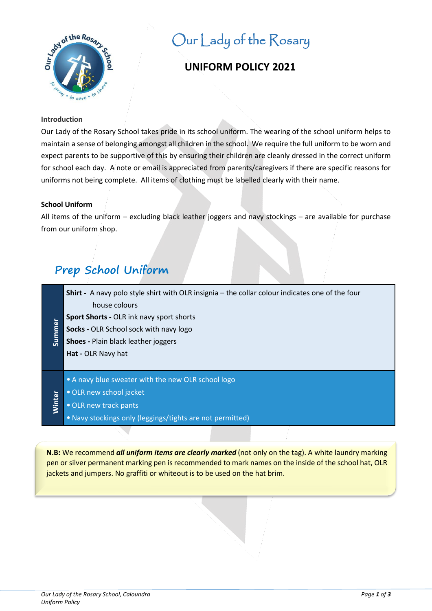

# Our Lady of the Rosary

# **UNIFORM POLICY 2021**

# **Introduction**

Our Lady of the Rosary School takes pride in its school uniform. The wearing of the school uniform helps to maintain a sense of belonging amongst all children in the school. We require the full uniform to be worn and expect parents to be supportive of this by ensuring their children are cleanly dressed in the correct uniform for school each day. A note or email is appreciated from parents/caregivers if there are specific reasons for uniforms not being complete. All items of clothing must be labelled clearly with their name.

# **School Uniform**

All items of the uniform – excluding black leather joggers and navy stockings – are available for purchase from our uniform shop.

# **Prep School Uniform**

**Shirt -** A navy polo style shirt with OLR insignia – the collar colour indicates one of the four house colours

- **Sport Shorts -** OLR ink navy sport shorts
- jummer **Socks -** OLR School sock with navy logo
- **Shoes -** Plain black leather joggers

**Hat -** OLR Navy hat

- A navy blue sweater with the new OLR school logo
- •OLR new school jacket
- •OLR new track pants

**Minter** 

•Navy stockings only (leggings/tights are not permitted)

**N.B:** We recommend *all uniform items are clearly marked* (not only on the tag). A white laundry marking pen or silver permanent marking pen is recommended to mark names on the inside of the school hat, OLR jackets and jumpers. No graffiti or whiteout is to be used on the hat brim.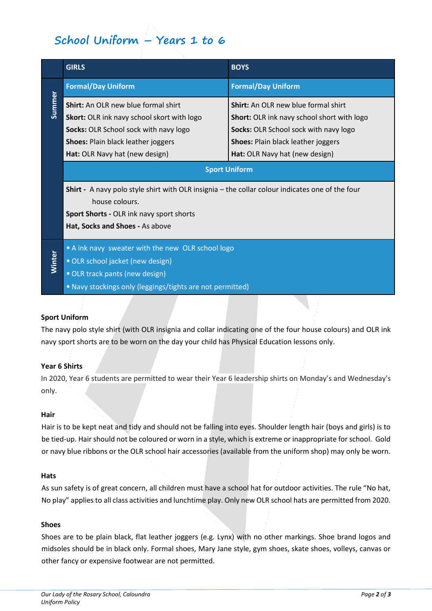# **School Uniform – Years 1 to 6**

|        | <b>GIRLS</b>                                                                                                                                                                                                            | <b>BOYS</b>                                                                                                                                                                                                      |
|--------|-------------------------------------------------------------------------------------------------------------------------------------------------------------------------------------------------------------------------|------------------------------------------------------------------------------------------------------------------------------------------------------------------------------------------------------------------|
| Summer | <b>Formal/Day Uniform</b>                                                                                                                                                                                               | <b>Formal/Day Uniform</b>                                                                                                                                                                                        |
|        | <b>Shirt:</b> An OLR new blue formal shirt<br><b>Skort:</b> OLR ink navy school skort with logo<br>Socks: OLR School sock with navy logo<br><b>Shoes: Plain black leather joggers</b><br>Hat: OLR Navy hat (new design) | <b>Shirt:</b> An OLR new blue formal shirt<br>Short: OLR ink navy school short with logo<br>Socks: OLR School sock with navy logo<br><b>Shoes: Plain black leather joggers</b><br>Hat: OLR Navy hat (new design) |
|        | <b>Sport Uniform</b>                                                                                                                                                                                                    |                                                                                                                                                                                                                  |
|        | <b>Shirt</b> - A navy polo style shirt with OLR insignia – the collar colour indicates one of the four<br>house colours.<br>Sport Shorts - OLR ink navy sport shorts<br>Hat, Socks and Shoes - As above                 |                                                                                                                                                                                                                  |
| Winter | • A ink navy sweater with the new OLR school logo<br>· OLR school jacket (new design)<br>· OLR track pants (new design)<br>. Navy stockings only (leggings/tights are not permitted)                                    |                                                                                                                                                                                                                  |

# **Sport Uniform**

The navy polo style shirt (with OLR insignia and collar indicating one of the four house colours) and OLR ink navy sport shorts are to be worn on the day your child has Physical Education lessons only.

#### **Year 6 Shirts**

In 2020, Year 6 students are permitted to wear their Year 6 leadership shirts on Monday's and Wednesday's only.

#### **Hair**

Hair is to be kept neat and tidy and should not be falling into eyes. Shoulder length hair (boys and girls) is to be tied-up. Hair should not be coloured or worn in a style, which is extreme or inappropriate for school. Gold or navy blue ribbons or the OLR school hair accessories (available from the uniform shop) may only be worn.

#### **Hats**

As sun safety is of great concern, all children must have a school hat for outdoor activities. The rule "No hat, No play" applies to all class activities and lunchtime play. Only new OLR school hats are permitted from 2020.

# **Shoes**

Shoes are to be plain black, flat leather joggers (e.g. Lynx) with no other markings. Shoe brand logos and midsoles should be in black only. Formal shoes, Mary Jane style, gym shoes, skate shoes, volleys, canvas or other fancy or expensive footwear are not permitted.